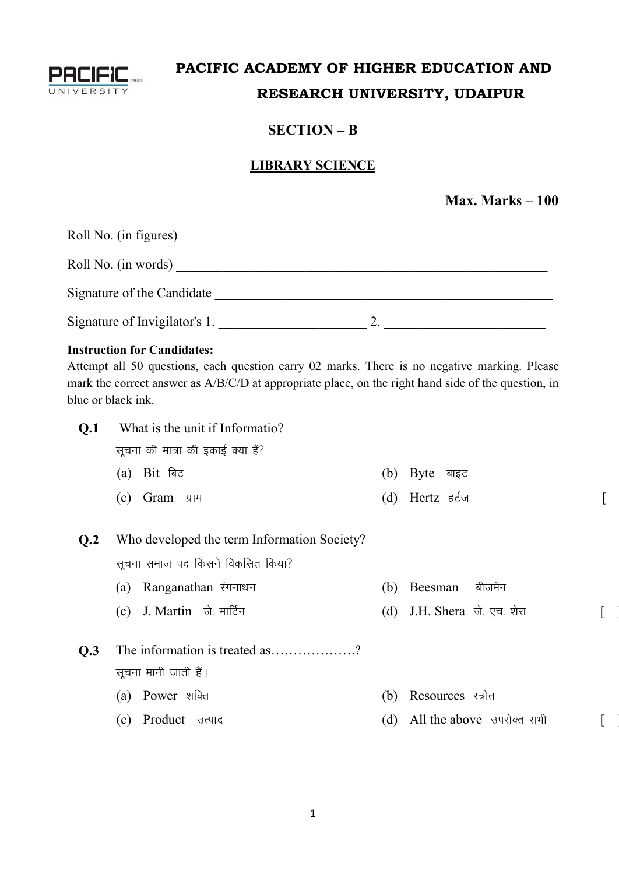

# **PACIFIC ACADEMY OF HIGHER EDUCATION AND RESEARCH UNIVERSITY, UDAIPUR**

## **SECTION – B**

## **LIBRARY SCIENCE**

#### **Max. Marks – 100**

| Roll No. (in figures)         |  |
|-------------------------------|--|
| Roll No. (in words)           |  |
| Signature of the Candidate    |  |
| Signature of Invigilator's 1. |  |

#### **Instruction for Candidates:**

Attempt all 50 questions, each question carry 02 marks. There is no negative marking. Please mark the correct answer as A/B/C/D at appropriate place, on the right hand side of the question, in blue or black ink.

| Q.1            | What is the unit if Informatio?             |     |                             |  |
|----------------|---------------------------------------------|-----|-----------------------------|--|
|                | सूचना की मात्रा की इकाई क्या हैं?           |     |                             |  |
|                | Bit बिट<br>(a)                              | (b) | Byte बाइट                   |  |
|                | (c) $Gram$ ग्राम                            |     | (d) Hertz हर्टज             |  |
|                |                                             |     |                             |  |
| Q <sub>2</sub> | Who developed the term Information Society? |     |                             |  |
|                | सूचना समाज पद किसने विकसित किया?            |     |                             |  |
|                | Ranganathan रंगनाथन<br>(a)                  | (b) | बीजमेन<br>Beesman           |  |
|                | J. Martin जे. मार्टिन<br>(c)                |     | (d) J.H. Shera जे. एच. शेरा |  |
|                |                                             |     |                             |  |
| Q.3            | The information is treated as?              |     |                             |  |
|                | सूचना मानी जाती हैं।                        |     |                             |  |
|                | Power शक्ति<br>(a)                          | (b) | Resources स्त्रोत           |  |
|                | Product उत्पाद<br>(c)                       | (d) | All the above उपरोक्त सभी   |  |
|                |                                             |     |                             |  |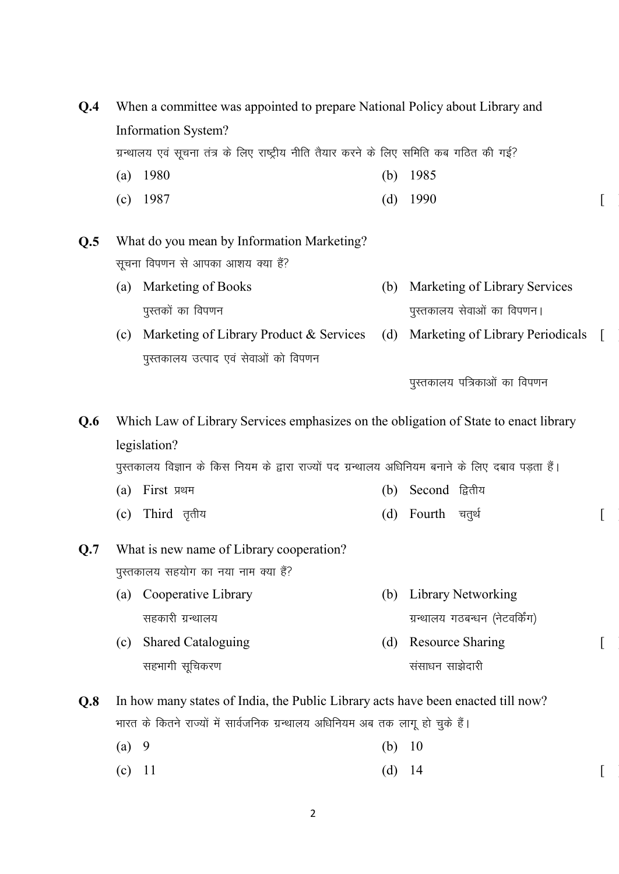| Q.4 | When a committee was appointed to prepare National Policy about Library and                                       |                                                                                      |     |                                  |          |  |  |
|-----|-------------------------------------------------------------------------------------------------------------------|--------------------------------------------------------------------------------------|-----|----------------------------------|----------|--|--|
|     |                                                                                                                   | Information System?                                                                  |     |                                  |          |  |  |
|     | ग्रन्थालय एवं सूचना तंत्र के लिए राष्ट्रीय नीति तैयार करने के लिए समिति कब गठित की गई?                            |                                                                                      |     |                                  |          |  |  |
|     | (a)                                                                                                               | 1980                                                                                 | (b) | 1985                             |          |  |  |
|     | (c)                                                                                                               | 1987                                                                                 | (d) | 1990                             |          |  |  |
| Q.5 |                                                                                                                   | What do you mean by Information Marketing?                                           |     |                                  |          |  |  |
|     |                                                                                                                   | सूचना विपणन से आपका आशय क्या हैं?                                                    |     |                                  |          |  |  |
|     | (a)                                                                                                               | Marketing of Books                                                                   | (b) | Marketing of Library Services    |          |  |  |
|     |                                                                                                                   | पुस्तकों का विपणन                                                                    |     | पुस्तकालय सेवाओं का विपणन।       |          |  |  |
|     | (c)                                                                                                               | Marketing of Library Product & Services                                              | (d) | Marketing of Library Periodicals | $\lceil$ |  |  |
|     |                                                                                                                   | पुस्तकालय उत्पाद एवं सेवाओं को विपणन                                                 |     |                                  |          |  |  |
|     |                                                                                                                   |                                                                                      |     | पुस्तकालय पत्रिकाओं का विपणन     |          |  |  |
| Q.6 |                                                                                                                   | Which Law of Library Services emphasizes on the obligation of State to enact library |     |                                  |          |  |  |
|     |                                                                                                                   |                                                                                      |     |                                  |          |  |  |
|     | legislation?<br>पुस्तकालय विज्ञान के किस नियम के द्वारा राज्यों पद ग्रन्थालय अधिनियम बनाने के लिए दबाव पड़ता हैं। |                                                                                      |     |                                  |          |  |  |
|     | (a)                                                                                                               | First प्रथम                                                                          | (b) | Second द्वितीय                   |          |  |  |
|     | (c)                                                                                                               | Third तृतीय                                                                          | (d) | Fourth चतुर्थ                    |          |  |  |
| Q.7 |                                                                                                                   | What is new name of Library cooperation?                                             |     |                                  |          |  |  |
|     |                                                                                                                   | पुस्तकालय सहयोग का नया नाम क्या हैं?                                                 |     |                                  |          |  |  |
|     | (a)                                                                                                               | Cooperative Library                                                                  | (b) | Library Networking               |          |  |  |
|     |                                                                                                                   | सहकारी ग्रन्थालय                                                                     |     | ग्रन्थालय गठबन्धन (नेटवर्किंग)   |          |  |  |
|     | (c)                                                                                                               | <b>Shared Cataloguing</b>                                                            | (d) | <b>Resource Sharing</b>          |          |  |  |
|     |                                                                                                                   | सहभागी सूचिकरण                                                                       |     | संसाधन साझेदारी                  |          |  |  |
|     |                                                                                                                   | In how many states of India, the Public Library acts have been enacted till now?     |     |                                  |          |  |  |
| Q.8 |                                                                                                                   | भारत के कितने राज्यों में सार्वजनिक ग्रन्थालय अधिनियम अब तक लागू हो चुके हैं।        |     |                                  |          |  |  |
|     |                                                                                                                   |                                                                                      |     |                                  |          |  |  |

- (a) 9 (b) 10
- 
- (c)  $11$   $(d)$   $14$   $[$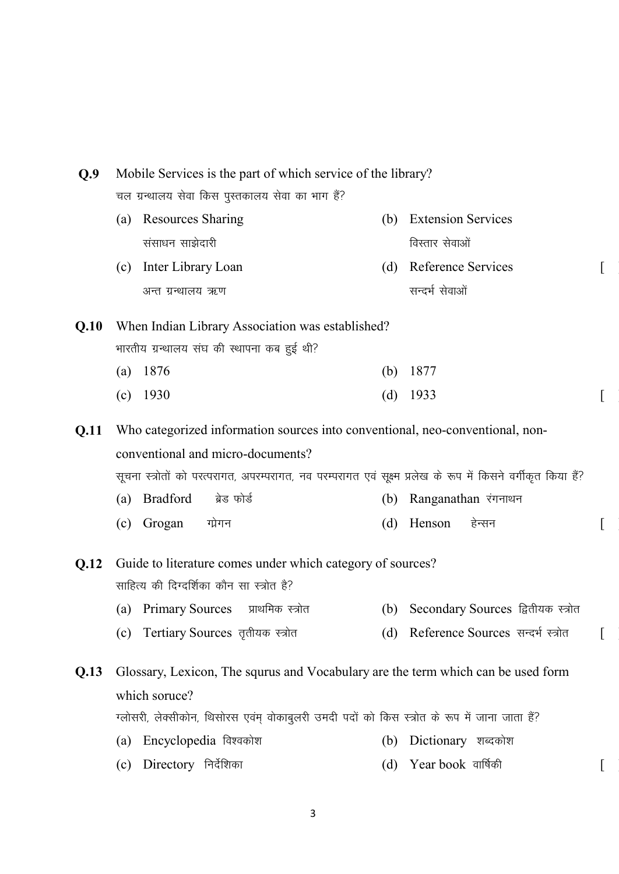| Q.9  | Mobile Services is the part of which service of the library? |                                                                                                               |     |                                       |  |  |
|------|--------------------------------------------------------------|---------------------------------------------------------------------------------------------------------------|-----|---------------------------------------|--|--|
|      | चल ग्रन्थालय सेवा किस पुस्तकालय सेवा का भाग हैं?             |                                                                                                               |     |                                       |  |  |
|      | (a)                                                          | <b>Resources Sharing</b>                                                                                      | (b) | <b>Extension Services</b>             |  |  |
|      |                                                              | संसाधन साझेदारी                                                                                               |     | विस्तार सेवाओं                        |  |  |
|      | (c)                                                          | Inter Library Loan                                                                                            | (d) | Reference Services                    |  |  |
|      |                                                              | अन्त ग्रन्थालय ऋण                                                                                             |     | सन्दर्भ सेवाओं                        |  |  |
| Q.10 |                                                              | When Indian Library Association was established?                                                              |     |                                       |  |  |
|      |                                                              | भारतीय ग्रन्थालय संघ की स्थापना कब हुई थी?                                                                    |     |                                       |  |  |
|      | (a) $1876$                                                   |                                                                                                               | (b) | 1877                                  |  |  |
|      | $(c)$ 1930                                                   |                                                                                                               | (d) | 1933                                  |  |  |
| Q.11 |                                                              | Who categorized information sources into conventional, neo-conventional, non-                                 |     |                                       |  |  |
|      |                                                              | conventional and micro-documents?                                                                             |     |                                       |  |  |
|      |                                                              | सूचना स्त्रोतों को परत्परागत, अपरम्परागत, नव परम्परागत एवं सूक्ष्म प्रलेख के रूप में किसने वर्गीकृत किया हैं? |     |                                       |  |  |
|      | (a)                                                          | <b>Bradford</b><br>ब्रेड फोर्ड                                                                                | (b) | Ranganathan रंगनाथन                   |  |  |
|      | (c)                                                          | Grogan<br>ग्प्रेगन                                                                                            | (d) | Henson<br>हेन्सन                      |  |  |
| Q.12 |                                                              | Guide to literature comes under which category of sources?                                                    |     |                                       |  |  |
|      |                                                              | साहित्य की दिग्दर्शिका कौन सा स्त्रोत है?                                                                     |     |                                       |  |  |
|      |                                                              | (a) Primary Sources प्राथमिक स्त्रोत                                                                          | (b) | Secondary Sources द्वितीयक स्त्रोत    |  |  |
|      |                                                              | (c) Tertiary Sources तृतीयक स्त्रोत                                                                           |     | (d) Reference Sources सन्दर्भ स्त्रोत |  |  |
| Q.13 |                                                              | Glossary, Lexicon, The squrus and Vocabulary are the term which can be used form                              |     |                                       |  |  |
|      | which soruce?                                                |                                                                                                               |     |                                       |  |  |
|      |                                                              | ग्लोसरी, लेक्सीकोन, थिसोरस एवंम् वोकाबुलरी उमदी पदों को किस स्त्रोत के रूप में जाना जाता हैं?                 |     |                                       |  |  |
|      | (a)                                                          | Encyclopedia विश्वकोश                                                                                         | (b) | Dictionary शब्दकोश                    |  |  |
|      | (c)                                                          | Directory निर्देशिका                                                                                          | (d) | Year book  वार्षिकी                   |  |  |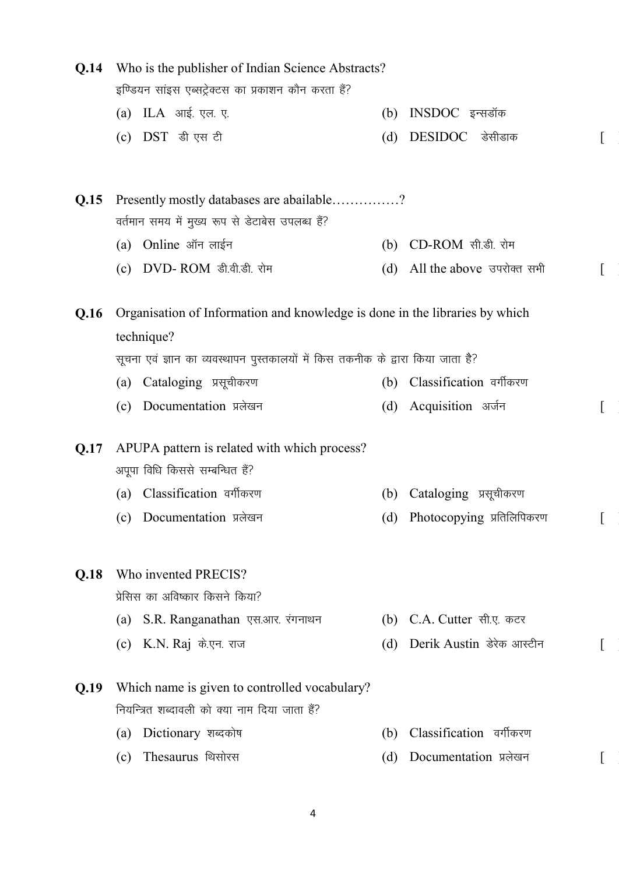| Q.14 | Who is the publisher of Indian Science Abstracts? |                                                                                 |     |                           |  |
|------|---------------------------------------------------|---------------------------------------------------------------------------------|-----|---------------------------|--|
|      |                                                   | इण्डियन सांइस एब्सट्रेक्टस का प्रकाशन कौन करता हैं?                             |     |                           |  |
|      |                                                   | (a) ILA आई. एल. ए.                                                              | (b) | INSDOC इन्सडॉक            |  |
|      |                                                   | (c) $DST$ डी एस टी                                                              | (d) | DESIDOC डेसीडाक           |  |
| Q.15 |                                                   | Presently mostly databases are abailable?                                       |     |                           |  |
|      |                                                   | वर्तमान समय में मुख्य रूप से डेटाबेस उपलब्ध हैं?                                |     |                           |  |
|      |                                                   | (a) Online ऑन लाईन                                                              |     | (b) CD-ROM सी.डी. रोम     |  |
|      |                                                   | (c) DVD-ROM डी.वी.डी. रोम                                                       | (d) | All the above उपरोक्त सभी |  |
| Q.16 |                                                   | Organisation of Information and knowledge is done in the libraries by which     |     |                           |  |
|      |                                                   | technique?                                                                      |     |                           |  |
|      |                                                   | सूचना एवं ज्ञान का व्यवस्थापन पुस्तकालयों में किस तकनीक के द्वारा किया जाता है? |     |                           |  |
|      |                                                   | (a) Cataloging प्रसूचीकरण                                                       | (b) | Classification वर्गीकरण   |  |
|      |                                                   | (c) Documentation प्रलेखन                                                       | (d) | Acquisition अर्जन         |  |
| Q.17 |                                                   | APUPA pattern is related with which process?                                    |     |                           |  |
|      |                                                   | अपूपा विधि किससे सम्बन्धित हैं?                                                 |     |                           |  |
|      |                                                   | (a) Classification वर्गीकरण                                                     | (b) | Cataloging प्रसूचीकरण     |  |
|      |                                                   | (c) Documentation प्रलेखन                                                       | (d) | Photocopying प्रतिलिपिकरण |  |
| Q.18 |                                                   | Who invented PRECIS?                                                            |     |                           |  |
|      |                                                   | प्रेसिस का अविष्कार किसने किया?                                                 |     |                           |  |
|      | (a)                                               | S.R. Ranganathan एस.आर. रंगनाथन                                                 |     | (b) C.A. Cutter सी.ए. कटर |  |
|      |                                                   | (c) K.N. Raj के.एन. राज                                                         | (d) | Derik Austin डेरेक आस्टीन |  |
| Q.19 |                                                   | Which name is given to controlled vocabulary?                                   |     |                           |  |
|      |                                                   | नियन्त्रित शब्दावली को क्या नाम दिया जाता है?                                   |     |                           |  |
|      | $\left( a\right)$                                 | Dictionary शब्दकोष                                                              | (b) | Classification वर्गीकरण   |  |
|      | (c)                                               | Thesaurus थिसोरस                                                                | (d) | Documentation प्रलेखन     |  |

4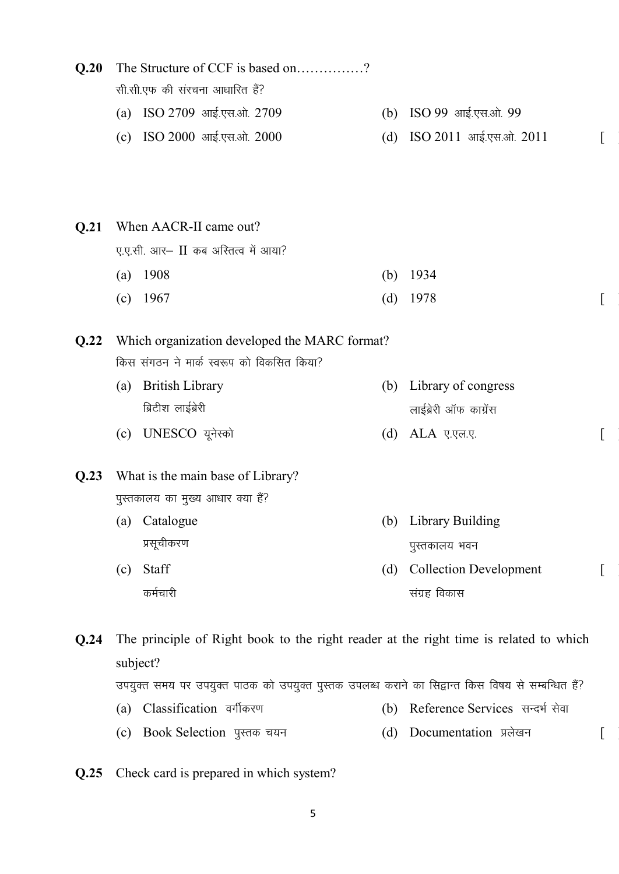| Q.20 |     | The Structure of CCF is based on?                                                     |     |                               |  |
|------|-----|---------------------------------------------------------------------------------------|-----|-------------------------------|--|
|      |     | सी.सी.एफ की संरचना आधारित हैं?                                                        |     |                               |  |
|      |     | (a) ISO 2709 आई.एस.ओ. 2709                                                            |     | (b) ISO 99 आई.एस.ओ. 99        |  |
|      | (c) | ISO 2000 आई.एस.ओ. 2000                                                                | (d) | ISO 2011 आई.एस.ओ. 2011        |  |
|      |     |                                                                                       |     |                               |  |
|      |     |                                                                                       |     |                               |  |
| Q.21 |     | When AACR-II came out?                                                                |     |                               |  |
|      |     | ए.ए.सी. आर- II कब अस्तित्व में आया?                                                   |     |                               |  |
|      | (a) | 1908                                                                                  | (b) | 1934                          |  |
|      | (c) | 1967                                                                                  | (d) | 1978                          |  |
| Q.22 |     | Which organization developed the MARC format?                                         |     |                               |  |
|      |     | किस संगठन ने मार्क स्वरूप को विकसित किया?                                             |     |                               |  |
|      | (a) | <b>British Library</b>                                                                | (b) | Library of congress           |  |
|      |     | ब्रिटीश लाईब्रेरी                                                                     |     | लाईब्रेरी ऑफ काग्रेंस         |  |
|      | (c) | UNESCO यूनेस्को                                                                       | (d) | ALA ए.एल.ए.                   |  |
| Q.23 |     | What is the main base of Library?                                                     |     |                               |  |
|      |     | पुस्तकालय का मुख्य आधार क्या हैं?                                                     |     |                               |  |
|      |     | (a) Catalogue                                                                         |     | (b) Library Building          |  |
|      |     | प्रसूचीकरण                                                                            |     | पुस्तकालय भवन                 |  |
|      | (c) | Staff                                                                                 | (d) | <b>Collection Development</b> |  |
|      |     | कर्मचारी                                                                              |     | संग्रह विकास                  |  |
| Q.24 |     | The principle of Right book to the right reader at the right time is related to which |     |                               |  |
|      |     | subject?                                                                              |     |                               |  |

उपयुक्त समय पर उपयुक्त पाठक को उपयुक्त पुस्तक उपलब्ध कराने का सिद्वान्त किस विषय से सम्बन्धित हैं?

- (a) Classification वर्गीकरण (b) Reference Services सन्दर्भ सेवा
- (c) Book Selection पुस्तक चयन (d) Documentation प्रलेखन [
- **Q.25** Check card is prepared in which system?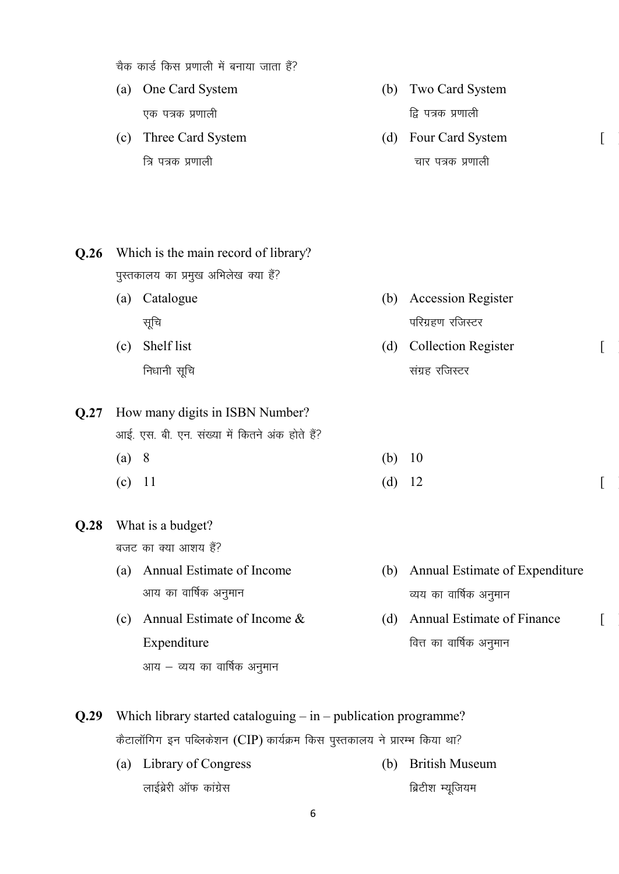चैक कार्ड किस प्रणाली में बनाया जाता हैं?

- (a) One Card System एक पत्रक प्रणाली
- (c) Three Card System त्रि पत्रक प्रणाली
- (b) Two Card System द्रि पत्रक प्रणाली
- (d) Four Card System चार पत्रक प्रणाली

 $\lceil$ 

 $\lceil$ 

 $\lceil$ 

**Q.26** Which is the main record of library? पुस्तकालय का प्रमुख अभिलेख क्या हैं? (a) Catalogue सूचि (b) Accession Register परिग्रहण रजिस्टर (c) Shelf list निधानी सूचि (d) Collection Register संग्रह रजिस्टर **Q.27** How many digits in ISBN Number? आई. एस. बी. एन. संख्या में कितने अंक होते हैं? (a) 8 (b) 10 (c) 11  $(d)$  12  $[$ **Q.28** What is a budget? बजट का क्या आशय हैं? (a) Annual Estimate of Income आय का वार्षिक अनुमान (b) Annual Estimate of Expenditure व्यय का वार्षिक अनुमान

- (c) Annual Estimate of Income & Expenditure आय $-$  व्यय का वार्षिक अनुमान
- (d) Annual Estimate of Finance वित्त का वार्षिक अनुमान
- **Q.29** Which library started cataloguing in publication programme? कैटालॉगिग इन पब्लिकेशन (CIP) कार्यक्रम किस पुस्तकालय ने प्रारम्भ किया था?
	- (a) Library of Congress लाईब्रेरी ऑफ कांग्रेस (b) British Museum ब्रिटीश म्यूजियम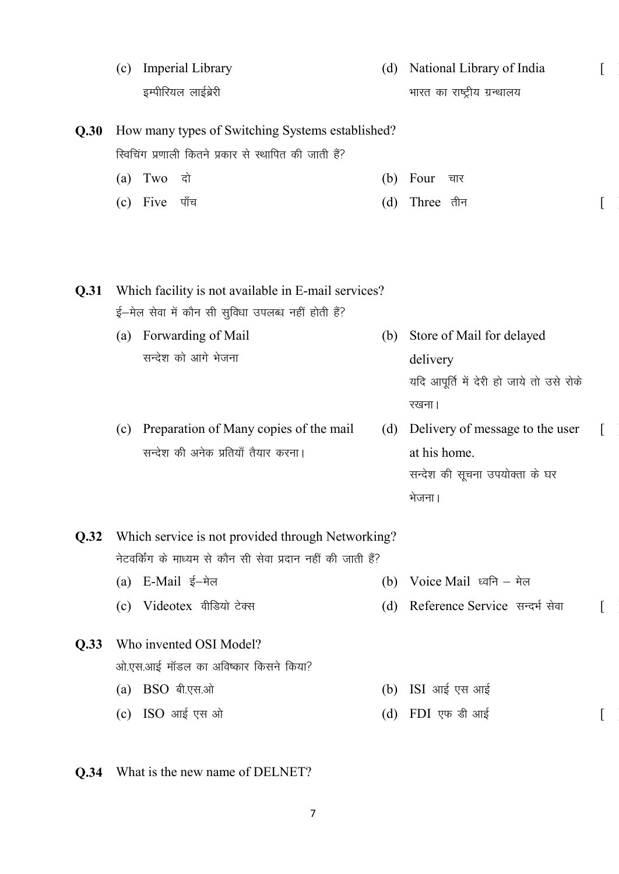|      | (c) | Imperial Library                                             | (d) | National Library of India                |  |
|------|-----|--------------------------------------------------------------|-----|------------------------------------------|--|
|      |     | इम्पीरियल लाईब्रेरी                                          |     | भारत का राष्ट्रीय ग्रन्थालय              |  |
| Q.30 |     | How many types of Switching Systems established?             |     |                                          |  |
|      |     | स्विचिंग प्रणाली कितने प्रकार से स्थापित की जाती हैं?        |     |                                          |  |
|      |     | $(a)$ Two<br>दो                                              | (b) | Four<br>चार                              |  |
|      | (c) | Five<br>पाँच                                                 | (d) | Three तीन                                |  |
| Q.31 |     | Which facility is not available in E-mail services?          |     |                                          |  |
|      |     | ई—मेल सेवा में कौन सी सुविधा उपलब्ध नहीं होती हैं?           |     |                                          |  |
|      | (a) | Forwarding of Mail                                           | (b) | Store of Mail for delayed                |  |
|      |     | सन्देश को आगे भेजना                                          |     | delivery                                 |  |
|      |     |                                                              |     | यदि आपूर्ति में देरी हो जाये तो उसे रोके |  |
|      |     |                                                              |     | रखना।                                    |  |
|      | (c) | Preparation of Many copies of the mail                       | (d) | Delivery of message to the user          |  |
|      |     | सन्देश की अनेक प्रतियाँ तैयार करना।                          |     | at his home.                             |  |
|      |     |                                                              |     | सन्देश की सूचना उपयोक्ता के घर           |  |
|      |     |                                                              |     | भेजना।                                   |  |
| Q.32 |     | Which service is not provided through Networking?            |     |                                          |  |
|      |     | नेटवर्किंग के माध्यम से कौन सी सेवा प्रदान नहीं की जाती हैं? |     |                                          |  |
|      | (a) | E-Mail ई–मेल                                                 | (b) | Voice Mail ध्वनि – मेल                   |  |
|      | (c) | Videotex वीडियो टेक्स                                        | (d) | Reference Service सन्दर्भ सेवा           |  |
| Q.33 |     | Who invented OSI Model?                                      |     |                                          |  |
|      |     | ओ.एस.आई मॉडल का अविष्कार किसने किया?                         |     |                                          |  |
|      | (a) | BSO बी.एस.ओ                                                  | (b) | ISI आई एस आई                             |  |
|      |     | (c) ISO आई एस ओ                                              | (d) | FDI एफ डी आई                             |  |
|      |     |                                                              |     |                                          |  |

**Q.34** What is the new name of DELNET?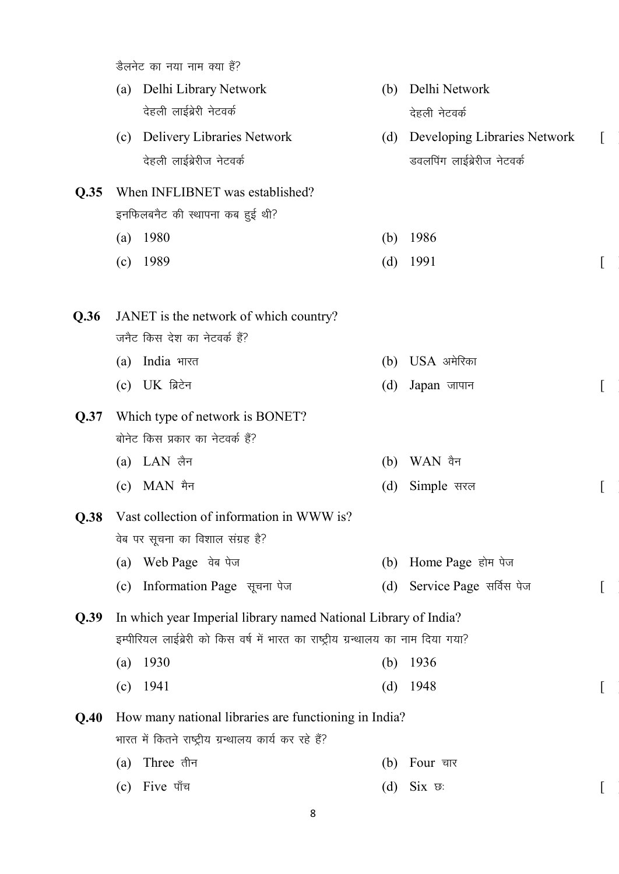डैलनेट का नया नाम क्या हैं?

(a) Delhi Library Network देहली लाईब्रेरी नेटवर्क (b) Delhi Network देहली नेटवर्क

 $\lceil$ 

- (c) Delivery Libraries Network देहली लाईब्रेरीज नेटवर्क (d) Developing Libraries Network डवलपिंग लाईब्रेरीज नेटवर्क
- **Q.35** When INFLIBNET was established? इनफिलबनैट की स्थापना कब हुई थी?
	- (a) 1980 (b) 1986
	- (c)  $1989$   $(d)$   $1991$   $\boxed{\phantom{2}$

| <b>Q.36</b> JANET is the network of which country? |                   |  |
|----------------------------------------------------|-------------------|--|
| जनैट किस देश का नेटवर्क हैं?                       |                   |  |
| (a) India भारत                                     | $(b)$ USA अमेरिका |  |
| (c) $UK$ ब्रिटेन                                   | $(d)$ Japan जापान |  |

- **Q.37** Which type of network is BONET? बोनेट किस प्रकार का नेटवर्क हैं?
	- (a)  $LAN$  लैन (b)  $WAN$  वैन
	- $\begin{bmatrix} \text{c} \end{bmatrix}$  MAN मैन  $\begin{bmatrix} \text{d} \end{bmatrix}$  Simple सरल
- **Q.38** Vast collection of information in WWW is? वेब पर सूचना का विशाल संग्रह है? (a) Web Page वेब पेज
	- (c) Information Page सूचना पेज (d) Service Page सर्विस पेज

**Q.39** In which year Imperial library named National Library of India? इम्पीरियल लाईब्रेरी को किस वर्ष में भारत का राष्ट्रीय ग्रन्थालय का नाम दिया गया?

- (a) 1930 (b) 1936 (c) 1941 (d) 1948 [ ]
- **Q.40** How many national libraries are functioning in India? भारत में कितने राष्ट्रीय ग्रन्थालय कार्य कर रहे हैं?
	- (a) Three तीन  $\qquad$  (b) Four चार
	- (c) Five  $\mathbf{u}^{\dagger}$  and  $\mathbf{u}$  (d) Six  $\mathbf{v}$ :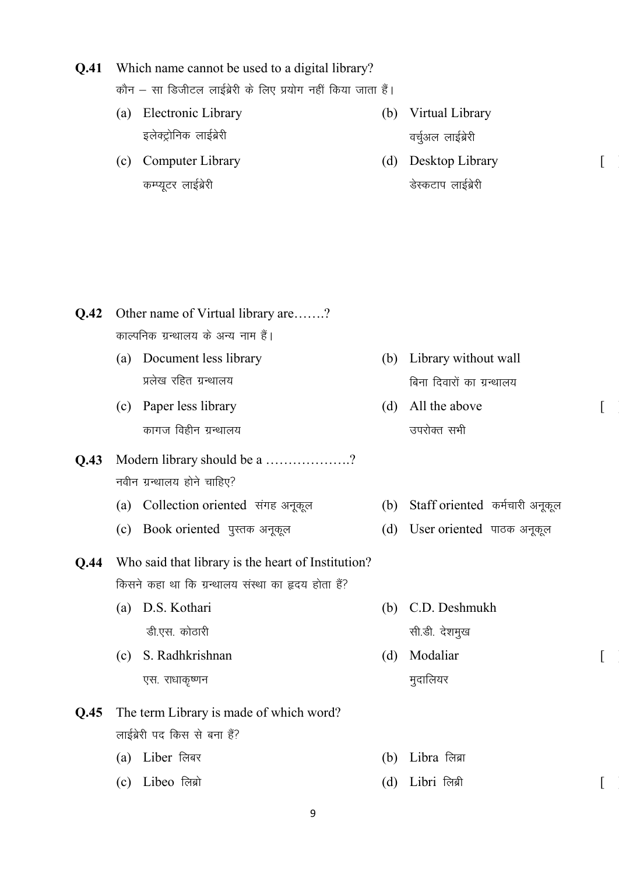|      |     | कौन – सा डिजीटल लाईब्रेरी के लिए प्रयोग नहीं किया जाता हैं। |     |                                    |                  |
|------|-----|-------------------------------------------------------------|-----|------------------------------------|------------------|
|      | (a) | Electronic Library                                          | (b) | Virtual Library                    |                  |
|      |     | इलेक्ट्रोनिक लाईब्रेरी                                      |     | वर्चुअल लाईब्रेरी                  |                  |
|      | (c) | Computer Library                                            | (d) | Desktop Library                    | $\left[ \right]$ |
|      |     | कम्प्यूटर लाईब्रेरी                                         |     | डेस्कटाप लाईब्रेरी                 |                  |
|      |     |                                                             |     |                                    |                  |
|      |     |                                                             |     |                                    |                  |
|      |     |                                                             |     |                                    |                  |
|      |     |                                                             |     |                                    |                  |
| Q.42 |     | Other name of Virtual library are?                          |     |                                    |                  |
|      |     | काल्पनिक ग्रन्थालय के अन्य नाम हैं।                         |     |                                    |                  |
|      | (a) | Document less library                                       | (b) | Library without wall               |                  |
|      |     | प्रलेख रहित ग्रन्थालय                                       |     | बिना दिवारों का ग्रन्थालय          |                  |
|      |     | (c) Paper less library                                      | (d) | All the above                      |                  |
|      |     | कागज विहीन ग्रन्थालय                                        |     | उपरोक्त सभी                        |                  |
| Q.43 |     | Modern library should be a ?                                |     |                                    |                  |
|      |     | नवीन ग्रन्थालय होने चाहिए?                                  |     |                                    |                  |
|      |     | (a) Collection oriented संगह अनूकूल                         |     | (b) Staff oriented कर्मचारी अनूकूल |                  |
|      | (c) | Book oriented पुस्तक अनूकूल                                 | (d) | User oriented पाठक अनूकूल          |                  |
| Q.44 |     | Who said that library is the heart of Institution?          |     |                                    |                  |
|      |     | किसने कहा था कि ग्रन्थालय संस्था का हृदय होता हैं?          |     |                                    |                  |
|      | (a) | D.S. Kothari                                                | (b) | C.D. Deshmukh                      |                  |
|      |     | डी.एस. कोठारी                                               |     | सी.डी. देशमुख                      |                  |
|      | (c) | S. Radhkrishnan                                             | (d) | Modaliar                           |                  |
|      |     | एस. राधाकृष्णन                                              |     | मुदालियर                           |                  |
| Q.45 |     | The term Library is made of which word?                     |     |                                    |                  |
|      |     | लाईब्रेरी पद किस से बना हैं?                                |     |                                    |                  |
|      | (a) | Liber लिबर                                                  | (b) | Libra लिब्रा                       |                  |
|      | (c) | Libeo लिब्रो                                                | (d) | Libri लिब्री                       |                  |
|      |     |                                                             |     |                                    |                  |

**Q.41** Which name cannot be used to a digital library?

9